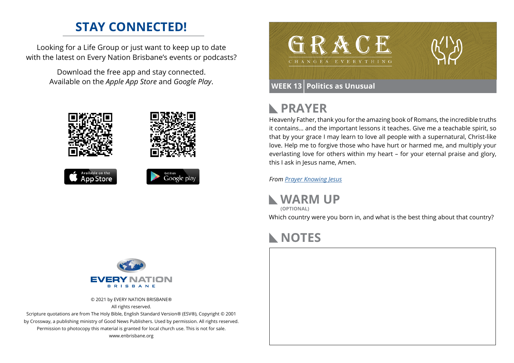## **STAY CONNECTED!**

Looking for a Life Group or just want to keep up to date with the latest on Every Nation Brisbane's events or podcasts?

> Download the free app and stay connected. Available on the *Apple App Store* and *Google Play*.





### **PRAYER**  $\mathbb{R}$

Heavenly Father, thank you for the amazing book of Romans, the incredible truths it contains… and the important lessons it teaches. Give me a teachable spirit, so that by your grace I may learn to love all people with a supernatural, Christ-like love. Help me to forgive those who have hurt or harmed me, and multiply your everlasting love for others within my heart – for your eternal praise and glory, this I ask in Jesus name, Amen.

*From [Prayer](https://prayer.knowing-jesus.com/Romans/13) Knowing Jesus*

**WARM UP** Which country were you born in, and what is the best thing about that country? **(OPTIONAL)**

## **NOTES**





© 2021 by EVERY NATION BRISBANE® All rights reserved.

Scripture quotations are from The Holy Bible, English Standard Version® (ESV®), Copyright © 2001 by Crossway, a publishing ministry of Good News Publishers. Used by permission. All rights reserved. Permission to photocopy this material is granted for local church use. This is not for sale. www.enbrisbane.org